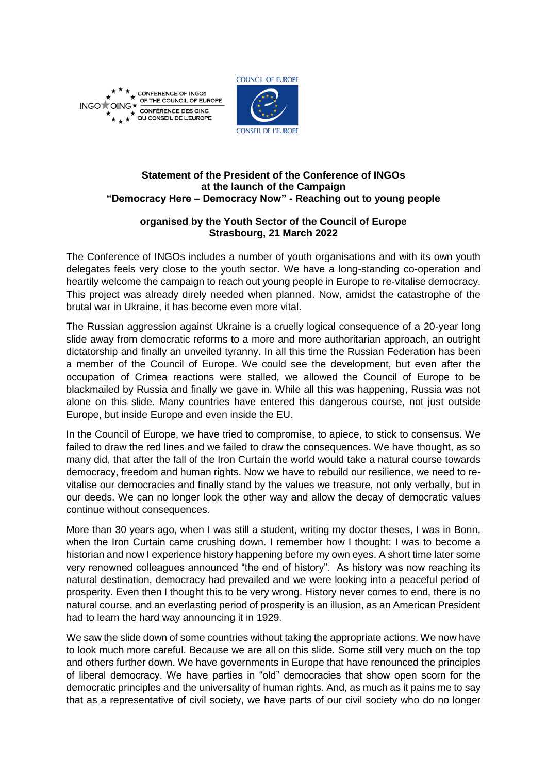

\* CONFERENCE OF INGOS<br>
SOF THE COUNCIL OF EUROPE INGO<sup>+</sup>OII CONFÉRENCE DES OING DU CONSEIL DE L'EUROPE



## **Statement of the President of the Conference of INGOs at the launch of the Campaign "Democracy Here – Democracy Now" - Reaching out to young people**

## **organised by the Youth Sector of the Council of Europe Strasbourg, 21 March 2022**

The Conference of INGOs includes a number of youth organisations and with its own youth delegates feels very close to the youth sector. We have a long-standing co-operation and heartily welcome the campaign to reach out young people in Europe to re-vitalise democracy. This project was already direly needed when planned. Now, amidst the catastrophe of the brutal war in Ukraine, it has become even more vital.

The Russian aggression against Ukraine is a cruelly logical consequence of a 20-year long slide away from democratic reforms to a more and more authoritarian approach, an outright dictatorship and finally an unveiled tyranny. In all this time the Russian Federation has been a member of the Council of Europe. We could see the development, but even after the occupation of Crimea reactions were stalled, we allowed the Council of Europe to be blackmailed by Russia and finally we gave in. While all this was happening, Russia was not alone on this slide. Many countries have entered this dangerous course, not just outside Europe, but inside Europe and even inside the EU.

In the Council of Europe, we have tried to compromise, to apiece, to stick to consensus. We failed to draw the red lines and we failed to draw the consequences. We have thought, as so many did, that after the fall of the Iron Curtain the world would take a natural course towards democracy, freedom and human rights. Now we have to rebuild our resilience, we need to revitalise our democracies and finally stand by the values we treasure, not only verbally, but in our deeds. We can no longer look the other way and allow the decay of democratic values continue without consequences.

More than 30 years ago, when I was still a student, writing my doctor theses, I was in Bonn, when the Iron Curtain came crushing down. I remember how I thought: I was to become a historian and now I experience history happening before my own eyes. A short time later some very renowned colleagues announced "the end of history". As history was now reaching its natural destination, democracy had prevailed and we were looking into a peaceful period of prosperity. Even then I thought this to be very wrong. History never comes to end, there is no natural course, and an everlasting period of prosperity is an illusion, as an American President had to learn the hard way announcing it in 1929.

We saw the slide down of some countries without taking the appropriate actions. We now have to look much more careful. Because we are all on this slide. Some still very much on the top and others further down. We have governments in Europe that have renounced the principles of liberal democracy. We have parties in "old" democracies that show open scorn for the democratic principles and the universality of human rights. And, as much as it pains me to say that as a representative of civil society, we have parts of our civil society who do no longer